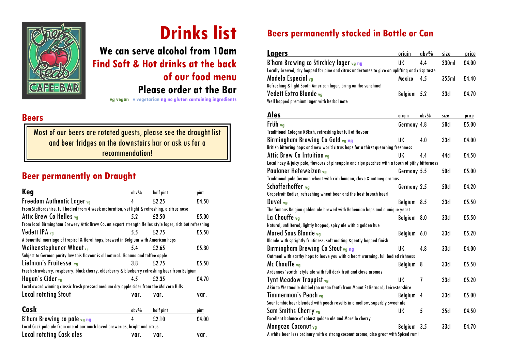

# **Drinks list**

**We can serve alcohol from 10am Find Soft & Hot drinks at the back of our food menu**

**Please order at the Bar**

**vg vegan v vegetarian ng no gluten containing ingredients** 

#### **Beers**

Most of our beers are rotated guests, please see the draught list and beer fridges on the downstairs bar or ask us for a recommendation!

## **Beer permanently on Draught**

| Keg                                                                                                     | $abv\%$ | half pint | pint  |
|---------------------------------------------------------------------------------------------------------|---------|-----------|-------|
| Freedom Authentic Lager vg                                                                              | 4       | £2.25     | £4.50 |
| From Staffordshire, full bodied from 4 week maturation, yet light & refreshing, a citrus nose           |         |           |       |
| Attic Brew Co Helles va                                                                                 | 5.2     | £2.50     | £5.00 |
| From local Birmingham Brewery Attic Brew Co, an export strength Helles style lager, rich but refreshing |         |           |       |
| Vedett IPA vq                                                                                           | 5.5     | £2.75     | £5.50 |
| A beautiful marriage of tropical & floral hops, brewed in Belgium with American hops                    |         |           |       |
| Weihenstephaner Wheat vg                                                                                | 5.4     | £2.65     | £5.30 |
| Subject to German purity law this flavour is all natural. Banana and toffee apple                       |         |           |       |
| Liefman's Fruitesse vg                                                                                  | 3.8     | £2.75     | £5.50 |
| Fresh strawberry, raspberry, black cherry, elderberry & blueberry refreshing beer from Belgium          |         |           |       |
| Hogan's Cider vg                                                                                        | 4.5     | £2.35     | £4.70 |
| Local award winning classic fresh pressed medium dry apple cider from the Malvern Hills                 |         |           |       |
| <b>Local rotating Stout</b>                                                                             | var.    | var.      | var.  |
| Cask                                                                                                    | $abv\%$ | half pint | pint  |
| B'ham Brewing co pale vg ng                                                                             | 4       | f2.10     | £4.00 |
| Local Cask pale ale from one of our much loved breweries, bright and citrus                             |         |           |       |
| <b>Local rotating Cask ales</b>                                                                         | var.    | var.      | var.  |

# **Beers permanently stocked in Bottle or Can**

| Lagers                                                                                           | origin         | abv%    | size             | price |
|--------------------------------------------------------------------------------------------------|----------------|---------|------------------|-------|
| B'ham Brewing co Stirchley lager vg ng                                                           | UK             | 4.4     | 330ml            | £4.00 |
| Locally brewed, dry hopped for pine and citrus undertones to give an uplifting and crisp taste   |                |         |                  |       |
| Modelo Especial <sub>vg</sub>                                                                    | Mexico         | 4.5     | 355ml            | £4.40 |
| Refreshing & light South American lager, bring on the sunshine!                                  |                |         |                  |       |
| Vedett Extra Blonde vg                                                                           | Belgium        | 5.2     | 33 <sub>d</sub>  | £4.70 |
| Well hopped premium lager with herbal note                                                       |                |         |                  |       |
| <b>Ales</b>                                                                                      |                |         |                  |       |
|                                                                                                  | origin         | $abv\%$ | size             | price |
| Früh vg                                                                                          | Germany 4.8    |         | 50cl             | £5.00 |
| Traditional Cologne Kölsch, refreshing but full of flavour                                       |                |         |                  |       |
| Birmingham Brewing Co Gold <sub>vg ng</sub>                                                      | UK             | 4.0     | 33 <sub>d</sub>  | £4.00 |
| British bittering hops and new world citrus hops for a thirst quenching freshness                |                |         |                  |       |
| Attic Brew Co Intuition vg                                                                       | UK             | 4.4     | 44d              | £4.50 |
| Local hazy & juicy pale, flavours of pineapple and ripe peaches with a touch of pithy bitterness |                |         |                  |       |
| Paulaner Hefeweizen vg                                                                           | Germany 5.5    |         | 50cl             | £5.00 |
| Traditional pale German wheat with rich banana, clove & nutmeg aromas                            |                |         |                  |       |
| Schofferhoffer va                                                                                | Germany 2.5    |         | 50cl             | £4.20 |
| Grapefruit Radler, refreshing wheat beer and the best brunch beer!                               |                |         |                  |       |
| Duvel <sub>vg</sub>                                                                              | Belgium        | 8.5     | 33 <sub>d</sub>  | £5.50 |
| The famous Belgian golden ale brewed with Bohemian hops and a unique yeast                       |                |         |                  |       |
| La Chouffe va                                                                                    | Belgium        | 8.0     | 33 <sub>d</sub>  | £5.50 |
| Natural, unfiltered, lightly hopped, spicy ale with a golden hue                                 |                |         |                  |       |
| Mared Sous Blonde <sub>vg</sub>                                                                  | <b>Belgium</b> | 6.0     | 33 <sub>cl</sub> | £5.20 |
| Blonde with sprightly fruitiness, soft malting &gently hopped finish                             |                |         |                  |       |
| Birmingham Brewing Co Stout vg ng                                                                | UK             | 4.8     | 33 <sub>d</sub>  | £4.00 |
| Oatmeal with earthy hops to leave you with a heart warming, full bodied richness                 |                |         |                  |       |
| Mc Chouffe <sub>vg</sub>                                                                         | Belgium        | 8       | 33 <sub>cl</sub> | £5.50 |
| Ardennes 'scotch' style ale with full dark fruit and clove aromas                                |                |         |                  |       |
| Tynt Meadow Trappist <sub>vg</sub>                                                               | UK             | 7       | 33 <sub>d</sub>  | £5.20 |
| Akin to Westmalle dubbel (no mean feat!) from Mount St Bernard, Leicestershire                   |                |         |                  |       |
| Timmerman's Peach vg                                                                             | Belgium        | 4       | 33 <sub>d</sub>  | £5.00 |
| Sour lambic beer blended with peach results in a mellow, superbly sweet ale                      |                |         |                  |       |
| Sam Smiths Cherry <sub>vg</sub>                                                                  | UK             | 5       | 35 <sub>d</sub>  | £4.50 |
| Excellent balance of robust golden ale and Morello cherry                                        |                |         |                  |       |
| Mongozo Coconut vg                                                                               | Belgium        | 3.5     | 33 <sub>d</sub>  | £4.70 |
| A white beer less ordinary with a strong coconut aroma, also great with Spiced rum!              |                |         |                  |       |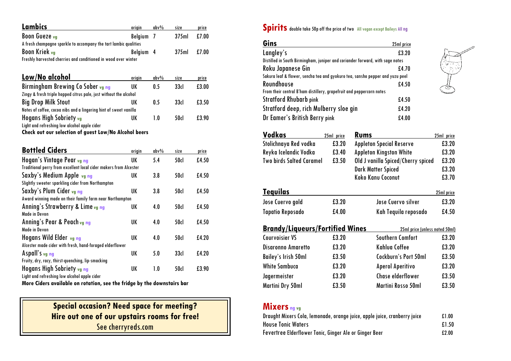| Lambics                                                           | origin         | $abv\%$ | size             | price |
|-------------------------------------------------------------------|----------------|---------|------------------|-------|
| Boon Gueze vg                                                     | <b>Belgium</b> | 7       | 375ml            | £7.00 |
| A fresh champagne sparkle to accompany the tart lambic qualities  |                |         |                  |       |
| Boon Kriek vg                                                     | <b>Belgium</b> | 4       | 375ml            | £7.00 |
| Freshly harvested cherries and conditioned in wood over winter    |                |         |                  |       |
|                                                                   |                |         |                  |       |
| <u> Low/No alcohol</u>                                            | origin         | $abv\%$ | size             | price |
| Birmingham Brewing Co Sober <sub>vg ng</sub>                      | UK             | 0.5     | 33 <sub>cl</sub> | £3.00 |
| Zingy & fresh triple hopped citrus pale, just without the alcohol |                |         |                  |       |
| <b>Big Drop Milk Stout</b>                                        | UK             | 0.5     | 33d              | £3.50 |
| Notes of coffee, cocoa nibs and a lingering hint of sweet vanilla |                |         |                  |       |
| Hogans High Sobriety <sub>vg</sub>                                | UK             | 1.0     | 50cl             | £3.90 |
| Light and refreshing low alcohol apple cider                      |                |         |                  |       |
| Check out our selection of guest Low/No Alcohol beers             |                |         |                  |       |
|                                                                   |                |         |                  |       |
| <b>Bottled Ciders</b>                                             | origin         | $abv\%$ | size             | price |
| Hogan's Vintage Pear <sub>vg ng</sub>                             | UK             | 5.4     | 50cl             | £4.50 |
| Traditional perry from excellent local cider makers from Alcester |                |         |                  |       |
| Saxby's Medium Apple <sub>vg ng</sub>                             | UK             | 3.8     | 50cl             | £4.50 |
| Slightly sweeter sparkling cider from Northampton                 |                |         |                  |       |
| Saxby's Plum Cider vg ng                                          | UK             | 3.8     | 50d              | £4.50 |
| Award winning made on their family farm near Northampton          |                |         |                  |       |
| Anning's Strawberry & Lime <sub>vg ng</sub>                       | UK             | 4.0     | 50cl             | £4.50 |
| <b>Made in Devon</b>                                              |                |         |                  |       |
| Anning's Pear & Peach <sub>vg ng</sub>                            | UK             | 4.0     | 50cl             | £4.50 |
| <b>Made in Devon</b>                                              |                |         |                  |       |
| Hogans Wild Elder vg ng                                           | UK             | 4.0     | 50cl             | £4.20 |
| Alcester made cider with fresh, hand-foraged elderflower          |                |         |                  |       |
| Aspall's vg ng                                                    | UK             | 5.0     | 33d              | £4.20 |
| Fruity, dry, racy, thirst-quenching, lip-smacking                 |                |         |                  |       |
| Hogans High Sobriety <sub>vg ng</sub>                             | UK             | 1.0     | 50cl             | £3.90 |
| Light and refreshing low alcohol apple cider                      |                |         |                  |       |

**More Ciders available on rotation, see the fridge by the downstairs bar**

| <b>Special occasion? Need space for meeting?</b> |
|--------------------------------------------------|
| Hire out one of our upstairs rooms for free!     |
| See cherryreds.com                               |

**Spirits** double take 50p off the price of two All vegan except Baileys All ng

| Gins                                                                          | 25ml price |
|-------------------------------------------------------------------------------|------------|
| Langley's                                                                     | £3.20      |
| Distilled in South Birmingham, juniper and coriander forward, with sage notes |            |
| <b>Roku Japanese Gin</b>                                                      | £4.70      |
| Sakura leaf & flower, sencha tea and gyokuro tea, sansho pepper and yuzu peel |            |
| Roundhouse                                                                    | £4.50      |
| From their central B'ham distillery, grapefruit and peppercorn notes          |            |
| Stratford Rhubarb pink                                                        | £4.50      |
| Stratford deep, rich Mulberry sloe gin                                        | £4.20      |
| Dr Eamer's British Berry pink                                                 | £4.00      |

O-COM

| <b>Vodkas</b>                          | 25ml price | Rums                               | 25ml price        |
|----------------------------------------|------------|------------------------------------|-------------------|
| Stolichnaya Red vodka                  | £3.20      | <b>Appleton Special Reserve</b>    | £3.20             |
| Reyka Icelandic Vodka                  | £3.40      | <b>Appleton Kingston White</b>     | £3.20             |
| <b>Two birds Salted Caramel</b>        | £3.50      | Old J vanilla Spiced/Cherry spiced | £3.20             |
|                                        |            | <b>Dark Matter Spiced</b>          | £3.20             |
|                                        |            | Koko Kanu Coconut                  | £3.70             |
| <u>Tequilas</u>                        |            |                                    | <u>25ml price</u> |
| Jose Cuervo gold                       | £3.20      | Jose Cuervo silver                 | £3.20             |
| <b>Tapatio Reposado</b>                | £4.00      | Kah Tequila reposado               | £4.50             |
| <b>Brandy/Liqueurs/Fortified Wines</b> |            | 25ml price (unless noted 50ml)     |                   |
| <b>Courvoisier VS</b>                  | £3.20      | Southern Comfort                   | £3.20             |
| <b>Disaronno Amaretto</b>              | £3.20      | Kahlua Coffee                      | £3.20             |
| <b>Bailey's Irish 50ml</b>             | £3.50      | <b>Cockburn's Port 50ml</b>        | £3.50             |
| <b>White Sambuca</b>                   | £3.20      | <b>Aperol Aperitivo</b>            | £3.20             |
| Jagermeister                           | £3.20      | Chase elderflower                  | £3.50             |
| Martini Dry 50ml                       | £3.50      | Martini Rosso 50ml                 | £3.50             |

# **Mixers ng vg**

| Draught Mixers Cola, lemonade, orange juice, apple juice, cranberry juice | £1.00 |
|---------------------------------------------------------------------------|-------|
| <b>House Tonic Waters</b>                                                 | £1.50 |
| Fevertree Elderflower Tonic, Ginger Ale or Ginger Beer                    | £2.00 |